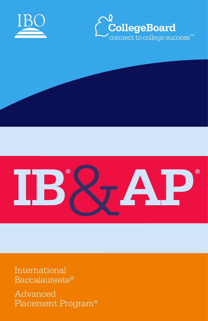Advanced Placement Program®

International Baccalaureate®

# **IB**&**AP ® ®**





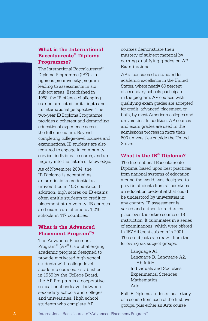# **What is the International Baccalaureate® Diploma Programme?**

The International Baccalaureate® Diploma Programme (IB®) is a rigorous preuniversity program leading to assessments in six subject areas. Established in 1968, the IB offers a challenging curriculum noted for its depth and its international perspective. The two-year IB Diploma Programme provides a coherent and demanding educational experience across the full curriculum. Beyond completing college-level courses and examinations, IB students are also required to engage in community service, individual research, and an inquiry into the nature of knowledge.

As of November 2004, the IB Diploma is accepted as an admissions credential at universities in 102 countries. In addition, high scores on IB exams often entitle students to credit or placement at university. IB courses and exams are offered at 1,215 schools in 117 countries.

# **What is the Advanced Placement Program®?**

The Advanced Placement Program<sup>®</sup> ( $AP^®$ ) is a challenging academic program designed to provide motivated high school students with college-level academic courses. Established in 1955 by the College Board, the AP Program is a cooperative educational endeavor between secondary schools and colleges and universities. High school students who complete AP

courses demonstrate their mastery of subject material by earning qualifying grades on AP Examinations.

AP is considered a standard for academic excellence in the United States, where nearly 60 percent of secondary schools participate in the program. AP courses with qualifying exam grades are accepted for credit, advanced placement, or both, by most American colleges and universities. In addition, AP courses and exam grades are used in the admissions process in more than 500 universities outside the United **States** 

# **What is the IB® Diploma?**

The International Baccalaureate Diploma, based upon best practices from national systems of education around the world, was designed to provide students from all countries an education credential that could be understood by universities in any country. IB assessment is varied and authentic, and takes place over the entire course of IB instruction. It culminates in a series of examinations, which were offered in 157 different subjects in 2001. These subjects are drawn from the following six subject groups:

> Language A1 Language B, Language A2, Ab Initio Individuals and Societies Experimental Sciences Mathematics Arts

Full IB Diploma students must study one course from each of the first five groups, plus either an Arts course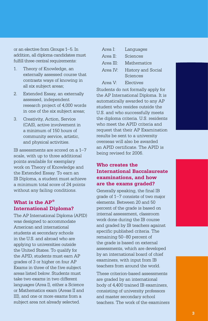or an elective from Groups 1–5. In addition, all diploma candidates must fulfill three central requirements:

- 1. Theory of Knowledge, an externally assessed course that contrasts ways of knowing in all six subject areas;
- 2. Extended Essay, an externally assessed, independent research project of 4,000 words in one of the six subject areas;
- 3. Creativity, Action, Service (CAS), active involvement in a minimum of 150 hours of community service, artistic, and physical activities.

IB assessments are scored on a 1–7 scale, with up to three additional points available for exemplary work on Theory of Knowledge and the Extended Essay. To earn an IB Diploma, a student must achieve a minimum total score of 24 points without any failing conditions.

# **What is the AP® International Diploma?**

The AP International Diploma (APID) was designed to accommodate American and international students at secondary schools in the U.S. and abroad who are applying to universities outside the United States. To qualify for the APID, students must earn AP grades of 3 or higher on four AP Exams in three of the five subject areas listed below. Students must take two exams in two different languages (Area I), either a Science or Mathematics exam (Areas II and III), and one or more exams from a subject area not already selected.

| Area I:             | Languages                      |
|---------------------|--------------------------------|
| Area II:            | Sciences                       |
| Area III:           | Mathematics                    |
| Area IV $\cdot$     | History and Social<br>Sciences |
| Area V <sup>.</sup> | Electives                      |

Students do not formally apply for the AP International Diploma. It is automatically awarded to any AP student who resides outside the U.S. and who successfully meets the diploma criteria. U.S. residents who meet the APID criteria and request that their AP Examination results be sent to a university overseas will also be awarded an APID certificate. The APID is being revised for 2006.

# **Who creates the International Baccalaureate examinations, and how are the exams graded?**

Generally speaking, the final IB grade of 1–7 consists of two major elements. Between 20 and 50 percent of the grade is based on internal assessment, classroom work done during the IB course and graded by IB teachers against specific published criteria. The remaining 50–80 percent of the grade is based on external assessments, which are developed by an international board of chief examiners, with input from IB teachers from around the world.

These criterion-based assessments are graded by an international body of 4,400 trained IB examiners, consisting of university professors and master secondary school teachers. The work of the examiners



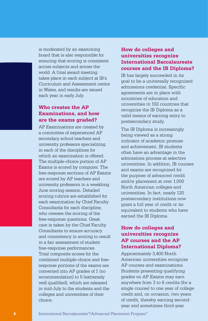is moderated by an examining board that is also responsible for ensuring that scoring is consistent across subjects and across the world. A final award meeting takes place in each subject at IB's Curriculum and Assessment centre in Wales, and results are issued each year in early July.

# **Who creates the AP Examinations, and how are the exams graded?**

AP Examinations are created by a committee of experienced AP secondary school teachers and university professors specializing in each of the disciplines for which an examination is offered. The multiple-choice portion of AP Exams is scored by computer. The free-response sections of AP Exams are scored by AP teachers and university professors in a weeklong June scoring session. Detailed scoring rubrics are established for each examination by Chief Faculty Consultants for each discipline, who oversee the scoring of the free-response questions. Great care is taken by the Chief Faculty Consultants to ensure accuracy and consistency in scoring to result in a fair assessment of student free-response performances. Total composite scores for the combined multiple-choice and freeresponse portions of the exams are converted into AP grades of 1 (no recommendation) to 5 (extremely well qualified), which are released in mid-July to the students and the colleges and universities of their choice.

# **How do colleges and universities recognize International Baccalaureate courses and the IB Diploma?**

IB has largely succeeded in its goal to be a universally recognized admissions credential. Specific agreements are in place with ministries of education and universities in 102 countries that recognize the IB Diploma as a valid means of earning entry to postsecondary study.

The IB Diploma is increasingly being viewed as a strong indicator of academic promise and achievement. IB students often have an advantage in the admissions process at selective universities. In addition, IB courses and exams are recognized for the purpose of advanced credit and/or placement at over 1,000 North American colleges and universities. In fact, nearly 120 postsecondary institutions now grant a full year of credit or its equivalent to students who have earned the IB Diploma.

#### **How do colleges and universities recognize AP courses and the AP International Diploma?**

Approximately 3,400 North American universities recognize AP courses and examinations. Students presenting qualifying grades on AP Exams may earn anywhere from 3 to 6 credits (for a single course) to one year of college credit and, on occasion, two years of credit, thereby earning secondyear and sometimes third-year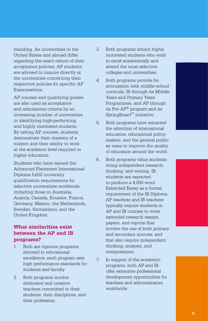standing. As universities in the United States and abroad differ regarding the exact nature of their acceptance policies, AP students are advised to inquire directly at the universities concerning their respective policies for specific AP Examinations.

AP courses and qualifying grades are also used as acceptance and admissions criteria by an increasing number of universities in identifying high-performing and highly motivated students. By taking AP courses, students demonstrate their mastery of a subject and their ability to work at the academic level required in higher education.

Students who have earned the Advanced Placement International Diploma fulfill university qualification requirements for selective universities worldwide, including those in Australia, Austria, Canada, Ecuador, France, Germany, Mexico, the Netherlands, Sweden, Switzerland, and the United Kingdom.

# **What similarities exist between the AP and IB programs?**

- 1. Both are rigorous programs devoted to educational excellence; each program sets high performance standards for students and faculty.
- 2. Both programs involve dedicated and creative teachers committed to their students, their disciplines, and their profession.
- 3. Both programs attract highly motivated students who wish to excel academically and attend the most selective colleges and universities.
- 4. Both programs provide for articulation with middle-school curricula, IB through its Middle Years and Primary Years Programmes, and AP through its Pre-AP® program and its SpringBoard™ initiative.
- 5. Both programs have attracted the attention of international educators, educational policymakers, and the general public as ways to improve the quality of education around the world.
- 6. Both programs value students doing independent research, thinking, and writing. IB students are expected to produce a 4,000-word Extended Essay as a formal requirement of the IB Diploma. AP teachers and IB teachers typically require students in AP and IB courses to write extended research essays, papers, and reports that involve the use of both primary and secondary sources, and that also require independent thinking, analysis, and interpretation.
- 7. In support of the academic programs, both AP and IB offer extensive professional development opportunities for teachers and administrators worldwide.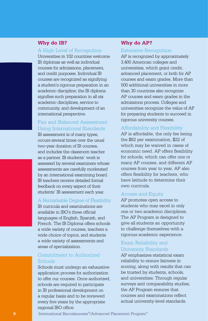#### **Why do IB?**

#### A High Level of Recognition

Universities in 102 countries welcome IB diplomas as well as individual courses for admissions, placement, and credit purposes. Individual IB courses are recognized as signifying a student's rigorous preparation in an academic discipline; the IB diploma signifies such preparation in all six academic disciplines, service to community, and development of an international perspective.

#### Fair and Balanced Assessment Using International Standards

IB assessment is of many types, occurs several times over the usual two-year duration of IB courses, and includes the classroom teacher as a partner. IB students' work is assessed by several examiners whose assessments are carefully moderated by an international examining board. IB teachers receive detailed formal feedback on every aspect of their students' IB assessment each year.

#### A Remarkable Degree of Flexibility

IB curricula and examinations are available in IBO's three official languages of English, Spanish, and French. The IB Diploma offers schools a wide variety of courses, teachers a wide choice of topics, and students a wide variety of assessments and areas of specialization.

#### Commitment to Authorized Schools

Schools must undergo an exhaustive application process for authorization to offer our courses. Once authorized, schools are required to participate in IB professional development on a regular basis and to be reviewed every five years by the appropriate regional IBO office.

#### **Why do AP?**

#### Extensive Recognition

AP is recognized by approximately 3,400 American colleges and universities, which grant credit, advanced placement, or both for AP courses and exam grades. More than 500 additional universities in more than 30 countries also recognize AP courses and exam grades in the admissions process. Colleges and universities recognize the value of AP for preparing students to succeed in rigorous university courses.

#### Affordability and Flexibility

AP is affordable, the only fee being the \$82 per examination, \$22 of which may be waived in cases of economic need. AP offers flexibility for schools, which can offer one or many AP courses, and different AP courses from year to year. AP also offers flexibility for teachers, who have latitude to determine their own curricula.

#### Access and Equity

AP promotes open access to students who may excel in only one or two academic disciplines. The AP Program is designed to give all students an opportunity to challenge themselves with a rigorous academic experience.

#### Exam Reliability and University Standards

AP emphasizes statistical exam reliability to ensure fairness in scoring, along with results that can be trusted by students, schools, and universities. Through regular surveys and comparability studies, the AP Program ensures that courses and examinations reflect actual university-level standards.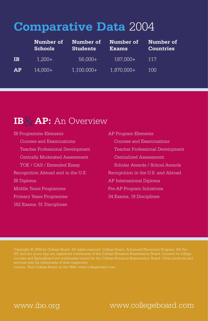# **Comparative Data** 2004

|           | Number of<br><b>Schools</b> | Number of<br><b>Students</b> | Number of<br><b>Exams</b> | Number of<br><b>Countries</b> |
|-----------|-----------------------------|------------------------------|---------------------------|-------------------------------|
| <b>IB</b> | $1,200+$                    | $56,000+$                    | 187,000+                  | 117                           |
| AP        | $14,000+$                   | $1,100,000+$                 | 1,870,000+                | 100                           |

# **IB**&**AP:** An Overview

IB Programme Elements AP Program Elements Courses and Examinations Courses and Examinations Centrally Moderated Assessment Centralized Assessment Recognition Abroad and in the U.S. Recognition in the U.S. and Abroad IB Diploma AP International Diploma Middle Years Programme Pre-AP Program Initiatives Primary Years Programme 34 Exams, 19 Disciplines 162 Exams, 51 Disciplines

 Teacher Professional Development Teacher Professional Development TOK / CAS / Extended Essay Scholar Awards / School Awards

Copyright © 2004 by College Board. All rights reserved. College Board, Advanced Placement Program, AP, Pre-AP, and the acorn logo are registered trademarks of the College Entrance Examination Board. Connect to college success and SpringBoard are trademarks owned by the College Entrance Examination Board. Other products and

owners. Visit College Board on the Web: www.collegeboard.com.

www.ibo.org

# www.collegeboard.com